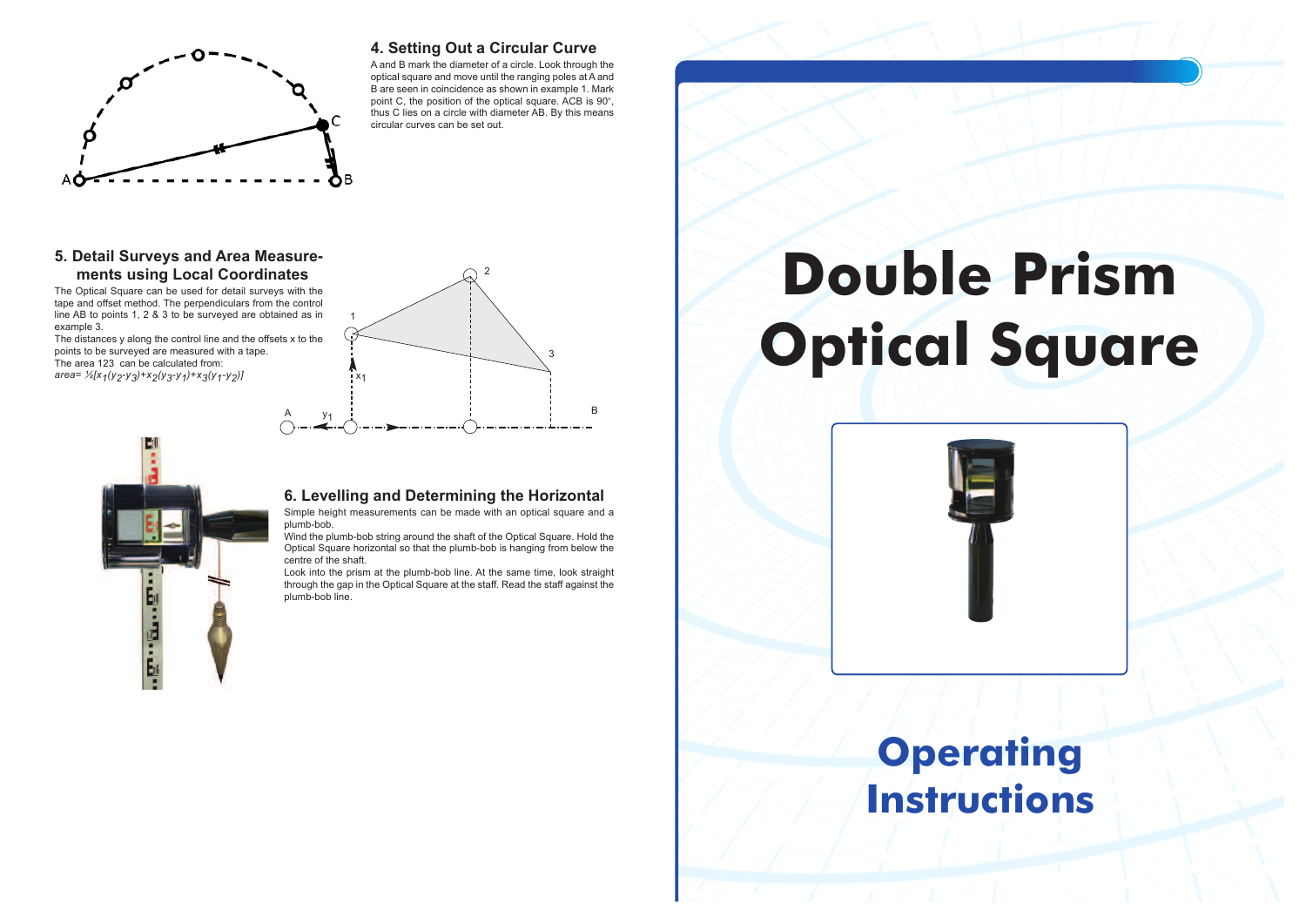

#### **4. Setting Out a Circular Curve**

A and B mark the diameter of a circle. Look through the optical square and move until the ranging poles at A and B are seen in coincidence as shown in example 1. Mark point C, the position of the optical square. ACB is 90°, thus C lies on a circle with diameter AB. By this means circular curves can be set out.

2

#### **5. Detail Surveys and Area Measurements using Local Coordinates**

The Optical Square can be used for detail surveys with the tape and offset method. The perpendiculars from the control line AB to points 1, 2 & 3 to be surveyed are obtained as in example 3.

The distances y along the control line and the offsets x to the points to be surveyed are measured with a tape. The area 123 can be calculated from: *area= ½[x1(y2-y3)+x2(y3-y1)+x3(y1-y2)]*



### 1  $\overline{2}$  $x_1$ A  $y_1$   $\frac{1}{2}$   $\frac{1}{2}$  B

#### **6. Levelling and Determining the Horizontal**

Simple height measurements can be made with an optical square and a plumb-bob.

Wind the plumb-bob string around the shaft of the Optical Square. Hold the Optical Square horizontal so that the plumb-bob is hanging from below the centre of the shaft.

Look into the prism at the plumb-bob line. At the same time, look straight through the gap in the Optical Square at the staff. Read the staff against the plumb-bob line.

# **Double Prism Optical Square**



## **Operating Instructions**